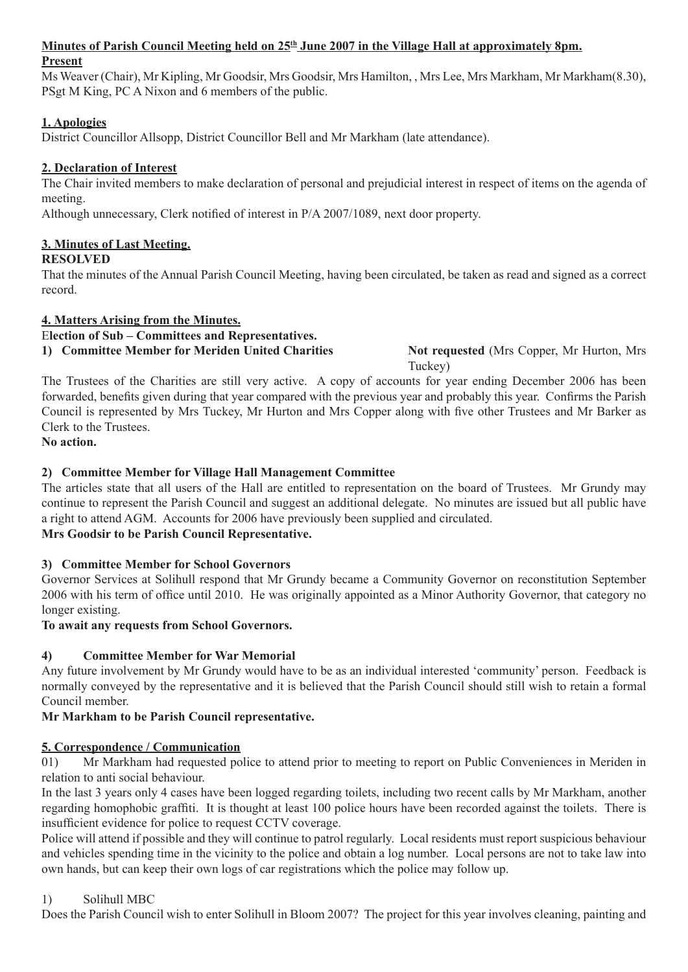# Minutes of Parish Council Meeting held on 25<sup>th</sup> June 2007 in the Village Hall at approximately 8pm.

### **Present**

Ms Weaver (Chair), Mr Kipling, Mr Goodsir, Mrs Goodsir, Mrs Hamilton, , Mrs Lee, Mrs Markham, Mr Markham(8.30), PSgt M King, PC A Nixon and 6 members of the public.

# **1. Apologies**

District Councillor Allsopp, District Councillor Bell and Mr Markham (late attendance).

# **2. Declaration of Interest**

The Chair invited members to make declaration of personal and prejudicial interest in respect of items on the agenda of meeting.

Although unnecessary, Clerk notified of interest in P/A 2007/1089, next door property.

# **3. Minutes of Last Meeting.**

### **RESOLVED**

That the minutes of the Annual Parish Council Meeting, having been circulated, be taken as read and signed as a correct record.

# **4. Matters Arising from the Minutes.**

E**lection of Sub – Committees and Representatives.**

**1) Committee Member for Meriden United Charities Not requested** (Mrs Copper, Mr Hurton, Mrs

Tuckey)

The Trustees of the Charities are still very active. A copy of accounts for year ending December 2006 has been forwarded, benefits given during that year compared with the previous year and probably this year. Confirms the Parish Council is represented by Mrs Tuckey, Mr Hurton and Mrs Copper along with five other Trustees and Mr Barker as Clerk to the Trustees.

### **No action.**

# **2) Committee Member for Village Hall Management Committee**

The articles state that all users of the Hall are entitled to representation on the board of Trustees. Mr Grundy may continue to represent the Parish Council and suggest an additional delegate. No minutes are issued but all public have a right to attend AGM. Accounts for 2006 have previously been supplied and circulated. **Mrs Goodsir to be Parish Council Representative.**

# **3) Committee Member for School Governors**

Governor Services at Solihull respond that Mr Grundy became a Community Governor on reconstitution September 2006 with his term of office until 2010. He was originally appointed as a Minor Authority Governor, that category no longer existing.

#### **To await any requests from School Governors.**

# **4) Committee Member for War Memorial**

Any future involvement by Mr Grundy would have to be as an individual interested 'community' person. Feedback is normally conveyed by the representative and it is believed that the Parish Council should still wish to retain a formal Council member.

# **Mr Markham to be Parish Council representative.**

# **5. Correspondence / Communication**

01) Mr Markham had requested police to attend prior to meeting to report on Public Conveniences in Meriden in relation to anti social behaviour.

In the last 3 years only 4 cases have been logged regarding toilets, including two recent calls by Mr Markham, another regarding homophobic graffiti. It is thought at least 100 police hours have been recorded against the toilets. There is insufficient evidence for police to request CCTV coverage.

Police will attend if possible and they will continue to patrol regularly. Local residents must report suspicious behaviour and vehicles spending time in the vicinity to the police and obtain a log number. Local persons are not to take law into own hands, but can keep their own logs of car registrations which the police may follow up.

# 1) Solihull MBC

Does the Parish Council wish to enter Solihull in Bloom 2007? The project for this year involves cleaning, painting and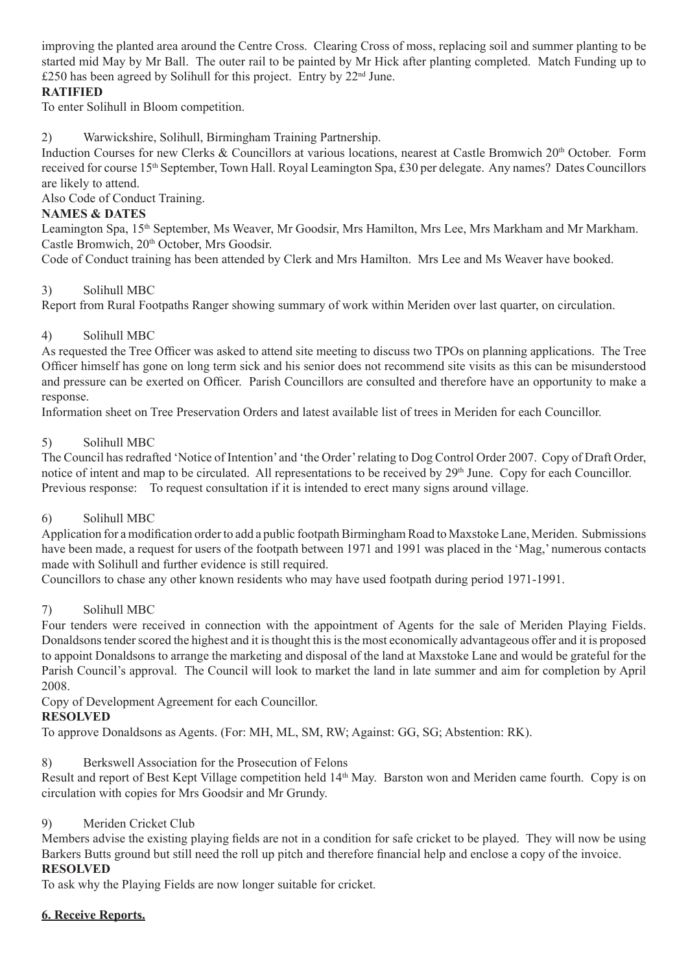improving the planted area around the Centre Cross. Clearing Cross of moss, replacing soil and summer planting to be started mid May by Mr Ball. The outer rail to be painted by Mr Hick after planting completed. Match Funding up to  $£250$  has been agreed by Solihull for this project. Entry by  $22<sup>nd</sup>$  June.

### **RATIFIED**

To enter Solihull in Bloom competition.

2) Warwickshire, Solihull, Birmingham Training Partnership.

Induction Courses for new Clerks & Councillors at various locations, nearest at Castle Bromwich 20<sup>th</sup> October. Form received for course 15th September, Town Hall. Royal Leamington Spa, £30 per delegate. Any names? Dates Councillors are likely to attend.

Also Code of Conduct Training.

### **NAMES & DATES**

Leamington Spa, 15<sup>th</sup> September, Ms Weaver, Mr Goodsir, Mrs Hamilton, Mrs Lee, Mrs Markham and Mr Markham. Castle Bromwich, 20<sup>th</sup> October, Mrs Goodsir.

Code of Conduct training has been attended by Clerk and Mrs Hamilton. Mrs Lee and Ms Weaver have booked.

### 3) Solihull MBC

Report from Rural Footpaths Ranger showing summary of work within Meriden over last quarter, on circulation.

### 4) Solihull MBC

As requested the Tree Officer was asked to attend site meeting to discuss two TPOs on planning applications. The Tree Officer himself has gone on long term sick and his senior does not recommend site visits as this can be misunderstood and pressure can be exerted on Officer. Parish Councillors are consulted and therefore have an opportunity to make a response.

Information sheet on Tree Preservation Orders and latest available list of trees in Meriden for each Councillor.

### 5) Solihull MBC

The Council has redrafted 'Notice of Intention' and 'the Order' relating to Dog Control Order 2007. Copy of Draft Order, notice of intent and map to be circulated. All representations to be received by 29<sup>th</sup> June. Copy for each Councillor. Previous response: To request consultation if it is intended to erect many signs around village.

#### 6) Solihull MBC

Application for a modification order to add a public footpath Birmingham Road to Maxstoke Lane, Meriden. Submissions have been made, a request for users of the footpath between 1971 and 1991 was placed in the 'Mag,' numerous contacts made with Solihull and further evidence is still required.

Councillors to chase any other known residents who may have used footpath during period 1971-1991.

# 7) Solihull MBC

Four tenders were received in connection with the appointment of Agents for the sale of Meriden Playing Fields. Donaldsons tender scored the highest and it is thought this is the most economically advantageous offer and it is proposed to appoint Donaldsons to arrange the marketing and disposal of the land at Maxstoke Lane and would be grateful for the Parish Council's approval. The Council will look to market the land in late summer and aim for completion by April 2008.

Copy of Development Agreement for each Councillor.

# **RESOLVED**

To approve Donaldsons as Agents. (For: MH, ML, SM, RW; Against: GG, SG; Abstention: RK).

#### 8) Berkswell Association for the Prosecution of Felons

Result and report of Best Kept Village competition held 14<sup>th</sup> May. Barston won and Meriden came fourth. Copy is on circulation with copies for Mrs Goodsir and Mr Grundy.

#### 9) Meriden Cricket Club

Members advise the existing playing fields are not in a condition for safe cricket to be played. They will now be using Barkers Butts ground but still need the roll up pitch and therefore financial help and enclose a copy of the invoice. **RESOLVED**

To ask why the Playing Fields are now longer suitable for cricket.

#### **6. Receive Reports.**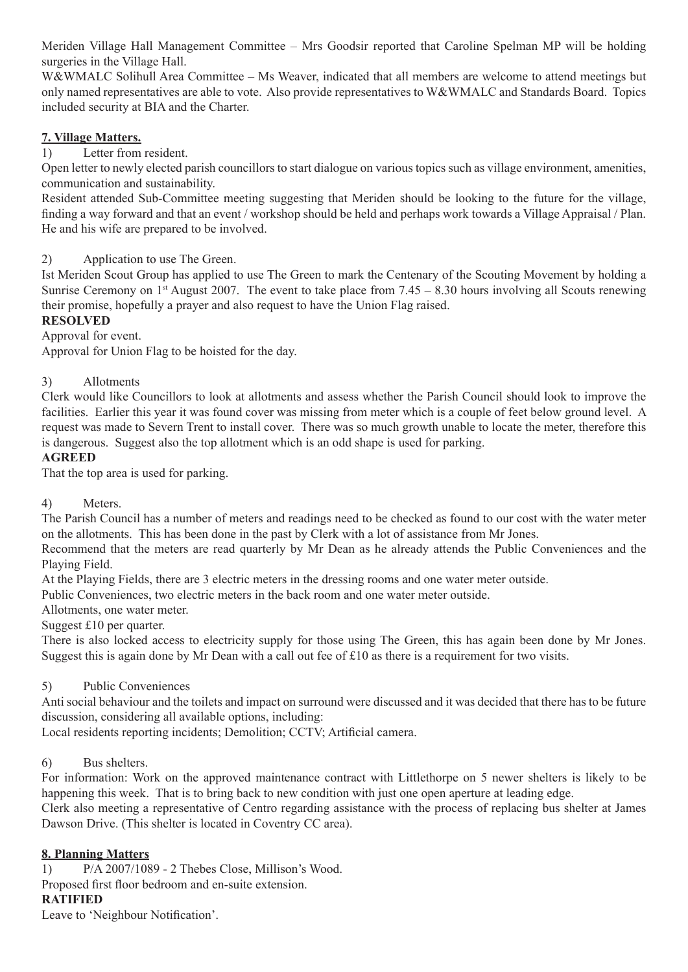Meriden Village Hall Management Committee – Mrs Goodsir reported that Caroline Spelman MP will be holding surgeries in the Village Hall.

W&WMALC Solihull Area Committee – Ms Weaver, indicated that all members are welcome to attend meetings but only named representatives are able to vote. Also provide representatives to W&WMALC and Standards Board. Topics included security at BIA and the Charter.

### **7. Village Matters.**

1) Letter from resident.

Open letter to newly elected parish councillors to start dialogue on various topics such as village environment, amenities, communication and sustainability.

Resident attended Sub-Committee meeting suggesting that Meriden should be looking to the future for the village, finding a way forward and that an event / workshop should be held and perhaps work towards a Village Appraisal / Plan. He and his wife are prepared to be involved.

#### 2) Application to use The Green.

Ist Meriden Scout Group has applied to use The Green to mark the Centenary of the Scouting Movement by holding a Sunrise Ceremony on  $1<sup>st</sup>$  August 2007. The event to take place from 7.45 – 8.30 hours involving all Scouts renewing their promise, hopefully a prayer and also request to have the Union Flag raised.

### **RESOLVED**

Approval for event.

Approval for Union Flag to be hoisted for the day.

### 3) Allotments

Clerk would like Councillors to look at allotments and assess whether the Parish Council should look to improve the facilities. Earlier this year it was found cover was missing from meter which is a couple of feet below ground level. A request was made to Severn Trent to install cover. There was so much growth unable to locate the meter, therefore this is dangerous. Suggest also the top allotment which is an odd shape is used for parking.

#### **AGREED**

That the top area is used for parking.

#### 4) Meters.

The Parish Council has a number of meters and readings need to be checked as found to our cost with the water meter on the allotments. This has been done in the past by Clerk with a lot of assistance from Mr Jones.

Recommend that the meters are read quarterly by Mr Dean as he already attends the Public Conveniences and the Playing Field.

At the Playing Fields, there are 3 electric meters in the dressing rooms and one water meter outside.

Public Conveniences, two electric meters in the back room and one water meter outside.

Allotments, one water meter.

Suggest £10 per quarter.

There is also locked access to electricity supply for those using The Green, this has again been done by Mr Jones. Suggest this is again done by Mr Dean with a call out fee of £10 as there is a requirement for two visits.

#### 5) Public Conveniences

Anti social behaviour and the toilets and impact on surround were discussed and it was decided that there has to be future discussion, considering all available options, including:

Local residents reporting incidents; Demolition; CCTV; Artificial camera.

# 6) Bus shelters.

For information: Work on the approved maintenance contract with Littlethorpe on 5 newer shelters is likely to be happening this week. That is to bring back to new condition with just one open aperture at leading edge.

Clerk also meeting a representative of Centro regarding assistance with the process of replacing bus shelter at James Dawson Drive. (This shelter is located in Coventry CC area).

# **8. Planning Matters**

1) P/A 2007/1089 - 2 Thebes Close, Millison's Wood. Proposed first floor bedroom and en-suite extension.

#### **RATIFIED**

Leave to 'Neighbour Notification'.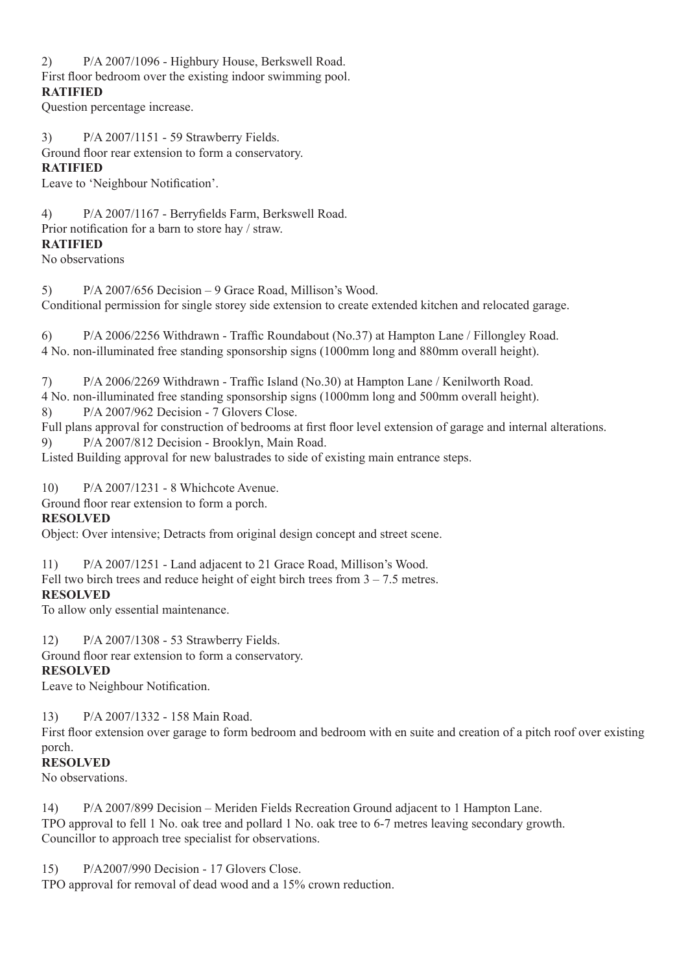2) P/A 2007/1096 - Highbury House, Berkswell Road.

First floor bedroom over the existing indoor swimming pool.

#### **RATIFIED**

Question percentage increase.

3) P/A 2007/1151 - 59 Strawberry Fields.

Ground floor rear extension to form a conservatory.

# **RATIFIED**

Leave to 'Neighbour Notification'.

4) P/A 2007/1167 - Berryfields Farm, Berkswell Road. Prior notification for a barn to store hay / straw. **RATIFIED**

No observations

5) P/A 2007/656 Decision – 9 Grace Road, Millison's Wood. Conditional permission for single storey side extension to create extended kitchen and relocated garage.

6) P/A 2006/2256 Withdrawn - Traffic Roundabout (No.37) at Hampton Lane / Fillongley Road. 4 No. non-illuminated free standing sponsorship signs (1000mm long and 880mm overall height).

7) P/A 2006/2269 Withdrawn - Traffic Island (No.30) at Hampton Lane / Kenilworth Road. 4 No. non-illuminated free standing sponsorship signs (1000mm long and 500mm overall height).

8) P/A 2007/962 Decision - 7 Glovers Close.

Full plans approval for construction of bedrooms at first floor level extension of garage and internal alterations. 9) P/A 2007/812 Decision - Brooklyn, Main Road.

Listed Building approval for new balustrades to side of existing main entrance steps.

10) P/A 2007/1231 - 8 Whichcote Avenue.

Ground floor rear extension to form a porch.

# **RESOLVED**

Object: Over intensive; Detracts from original design concept and street scene.

11) P/A 2007/1251 - Land adjacent to 21 Grace Road, Millison's Wood.

Fell two birch trees and reduce height of eight birch trees from  $3 - 7.5$  metres.

# **RESOLVED**

To allow only essential maintenance.

12) P/A 2007/1308 - 53 Strawberry Fields.

Ground floor rear extension to form a conservatory.

# **RESOLVED**

Leave to Neighbour Notification.

13) P/A 2007/1332 - 158 Main Road.

First floor extension over garage to form bedroom and bedroom with en suite and creation of a pitch roof over existing porch.

# **RESOLVED**

No observations.

14) P/A 2007/899 Decision – Meriden Fields Recreation Ground adjacent to 1 Hampton Lane. TPO approval to fell 1 No. oak tree and pollard 1 No. oak tree to 6-7 metres leaving secondary growth. Councillor to approach tree specialist for observations.

15) P/A2007/990 Decision - 17 Glovers Close.

TPO approval for removal of dead wood and a 15% crown reduction.